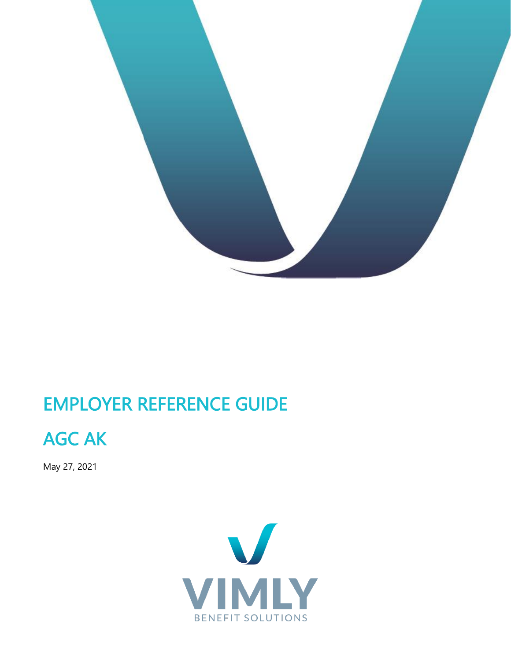

## EMPLOYER REFERENCE GUIDE



May 27, 2021

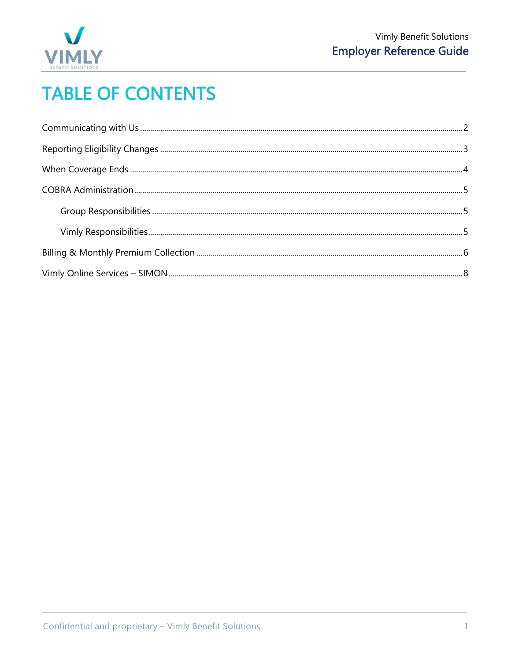

# **TABLE OF CONTENTS**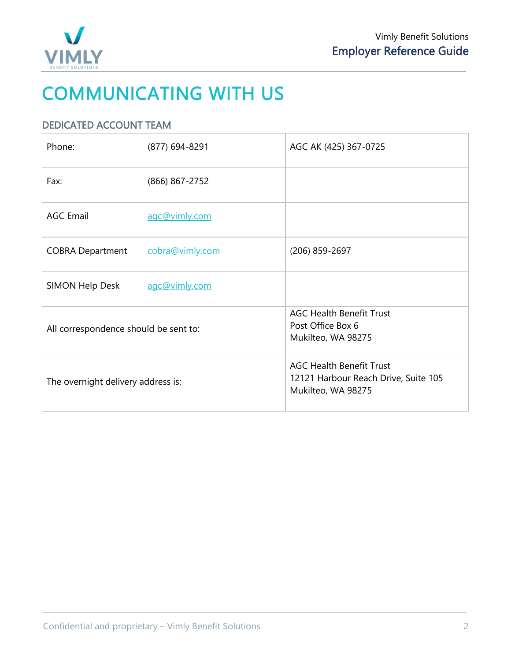

# <span id="page-2-0"></span>COMMUNICATING WITH US

## DEDICATED ACCOUNT TEAM

| Phone:                                | (877) 694-8291  | AGC AK (425) 367-0725                                                                         |
|---------------------------------------|-----------------|-----------------------------------------------------------------------------------------------|
| Fax:                                  | (866) 867-2752  |                                                                                               |
| <b>AGC Email</b>                      | agc@vimly.com   |                                                                                               |
| <b>COBRA Department</b>               | cobra@vimly.com | (206) 859-2697                                                                                |
| SIMON Help Desk                       | agc@vimly.com   |                                                                                               |
| All correspondence should be sent to: |                 | <b>AGC Health Benefit Trust</b><br>Post Office Box 6<br>Mukilteo, WA 98275                    |
| The overnight delivery address is:    |                 | <b>AGC Health Benefit Trust</b><br>12121 Harbour Reach Drive, Suite 105<br>Mukilteo, WA 98275 |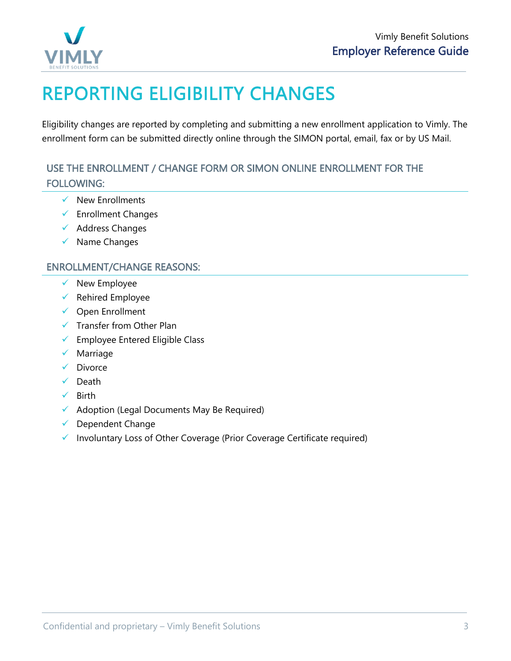

# <span id="page-3-0"></span>REPORTING ELIGIBILITY CHANGES

Eligibility changes are reported by completing and submitting a new enrollment application to Vimly. The enrollment form can be submitted directly online through the SIMON portal, email, fax or by US Mail.

## USE THE ENROLLMENT / CHANGE FORM OR SIMON ONLINE ENROLLMENT FOR THE FOLLOWING:

- $\checkmark$  New Enrollments
- ✓ Enrollment Changes
- ✓ Address Changes
- ✓ Name Changes

### ENROLLMENT/CHANGE REASONS:

- $\checkmark$  New Employee
- $\checkmark$  Rehired Employee
- ✓ Open Enrollment
- $\checkmark$  Transfer from Other Plan
- ✓ Employee Entered Eligible Class
- ✓ Marriage
- ✓ Divorce
- ✓ Death
- ✓ Birth
- $\checkmark$  Adoption (Legal Documents May Be Required)
- $\checkmark$  Dependent Change
- ✓ Involuntary Loss of Other Coverage (Prior Coverage Certificate required)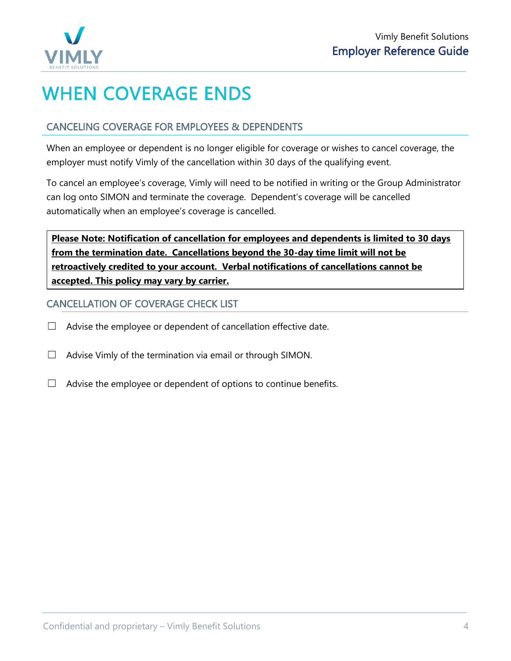

# <span id="page-4-0"></span>WHEN COVERAGE ENDS

## CANCELING COVERAGE FOR EMPLOYEES & DEPENDENTS

When an employee or dependent is no longer eligible for coverage or wishes to cancel coverage, the employer must notify Vimly of the cancellation within 30 days of the qualifying event.

To cancel an employee's coverage, Vimly will need to be notified in writing or the Group Administrator can log onto SIMON and terminate the coverage. Dependent's coverage will be cancelled automatically when an employee's coverage is cancelled.

**Please Note: Notification of cancellation for employees and dependents is limited to 30 days from the termination date. Cancellations beyond the 30-day time limit will not be retroactively credited to your account. Verbal notifications of cancellations cannot be accepted. This policy may vary by carrier.**

### CANCELLATION OF COVERAGE CHECK LIST

- $\Box$  Advise the employee or dependent of cancellation effective date.
- $\Box$  Advise Vimly of the termination via email or through SIMON.
- $\Box$  Advise the employee or dependent of options to continue benefits.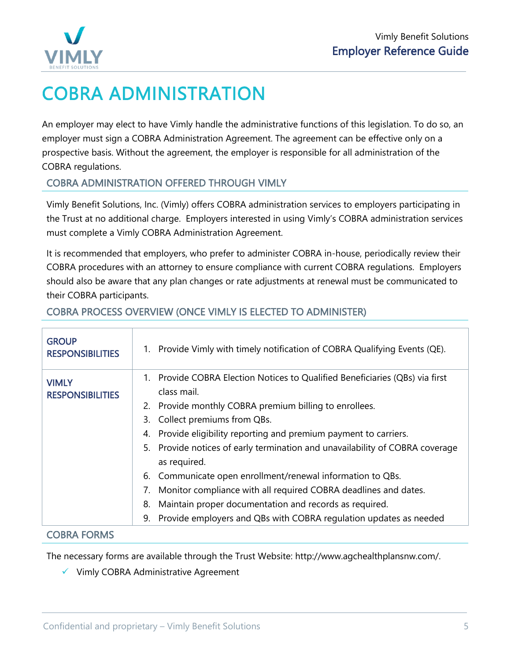

# <span id="page-5-0"></span>COBRA ADMINISTRATION

An employer may elect to have Vimly handle the administrative functions of this legislation. To do so, an employer must sign a COBRA Administration Agreement. The agreement can be effective only on a prospective basis. Without the agreement, the employer is responsible for all administration of the COBRA regulations.

### COBRA ADMINISTRATION OFFERED THROUGH VIMLY

Vimly Benefit Solutions, Inc. (Vimly) offers COBRA administration services to employers participating in the Trust at no additional charge. Employers interested in using Vimly's COBRA administration services must complete a Vimly COBRA Administration Agreement.

It is recommended that employers, who prefer to administer COBRA in-house, periodically review their COBRA procedures with an attorney to ensure compliance with current COBRA regulations. Employers should also be aware that any plan changes or rate adjustments at renewal must be communicated to their COBRA participants.

<span id="page-5-2"></span><span id="page-5-1"></span>

| <b>GROUP</b><br><b>RESPONSIBILITIES</b> | 1. Provide Vimly with timely notification of COBRA Qualifying Events (QE).                                                                                                                                                                                                                                                                                                                                                                                                                                                                                                                                                                                |
|-----------------------------------------|-----------------------------------------------------------------------------------------------------------------------------------------------------------------------------------------------------------------------------------------------------------------------------------------------------------------------------------------------------------------------------------------------------------------------------------------------------------------------------------------------------------------------------------------------------------------------------------------------------------------------------------------------------------|
| VIMLY<br><b>RESPONSIBILITIES</b>        | 1. Provide COBRA Election Notices to Qualified Beneficiaries (QBs) via first<br>class mail.<br>2. Provide monthly COBRA premium billing to enrollees.<br>Collect premiums from QBs.<br>3.<br>Provide eligibility reporting and premium payment to carriers.<br>4.<br>Provide notices of early termination and unavailability of COBRA coverage<br>5.<br>as required.<br>Communicate open enrollment/renewal information to QBs.<br>6.<br>Monitor compliance with all required COBRA deadlines and dates.<br>7.<br>Maintain proper documentation and records as required.<br>8.<br>Provide employers and QBs with COBRA regulation updates as needed<br>9. |
| <b>COBRA FORMS</b>                      |                                                                                                                                                                                                                                                                                                                                                                                                                                                                                                                                                                                                                                                           |

### COBRA PROCESS OVERVIEW (ONCE VIMLY IS ELECTED TO ADMINISTER)

The necessary forms are available through the Trust Website: http://www.agchealthplansnw.com/.

✓ Vimly COBRA Administrative Agreement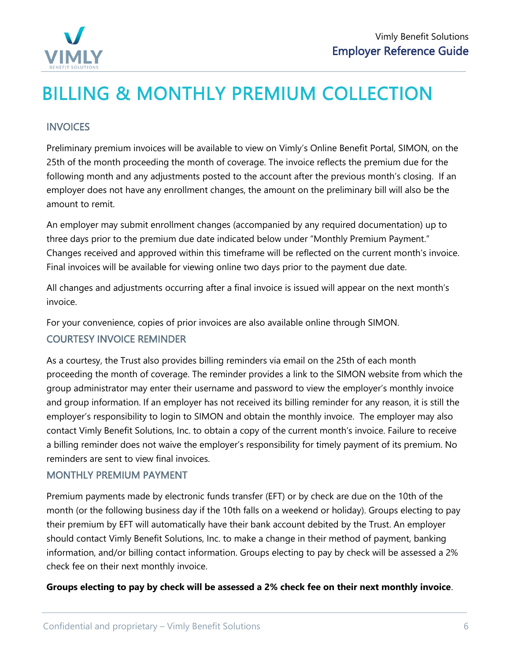

# <span id="page-6-0"></span>BILLING & MONTHLY PREMIUM COLLECTION

#### **INVOICES**

Preliminary premium invoices will be available to view on Vimly's Online Benefit Portal, SIMON, on the 25th of the month proceeding the month of coverage. The invoice reflects the premium due for the following month and any adjustments posted to the account after the previous month's closing. If an employer does not have any enrollment changes, the amount on the preliminary bill will also be the amount to remit.

An employer may submit enrollment changes (accompanied by any required documentation) up to three days prior to the premium due date indicated below under "Monthly Premium Payment." Changes received and approved within this timeframe will be reflected on the current month's invoice. Final invoices will be available for viewing online two days prior to the payment due date.

All changes and adjustments occurring after a final invoice is issued will appear on the next month's invoice.

For your convenience, copies of prior invoices are also available online through SIMON.

## COURTESY INVOICE REMINDER

As a courtesy, the Trust also provides billing reminders via email on the 25th of each month proceeding the month of coverage. The reminder provides a link to the SIMON website from which the group administrator may enter their username and password to view the employer's monthly invoice and group information. If an employer has not received its billing reminder for any reason, it is still the employer's responsibility to login to SIMON and obtain the monthly invoice. The employer may also contact Vimly Benefit Solutions, Inc. to obtain a copy of the current month's invoice. Failure to receive a billing reminder does not waive the employer's responsibility for timely payment of its premium. No reminders are sent to view final invoices.

#### MONTHLY PREMIUM PAYMENT

Premium payments made by electronic funds transfer (EFT) or by check are due on the 10th of the month (or the following business day if the 10th falls on a weekend or holiday). Groups electing to pay their premium by EFT will automatically have their bank account debited by the Trust. An employer should contact Vimly Benefit Solutions, Inc. to make a change in their method of payment, banking information, and/or billing contact information. Groups electing to pay by check will be assessed a 2% check fee on their next monthly invoice.

#### **Groups electing to pay by check will be assessed a 2% check fee on their next monthly invoice**.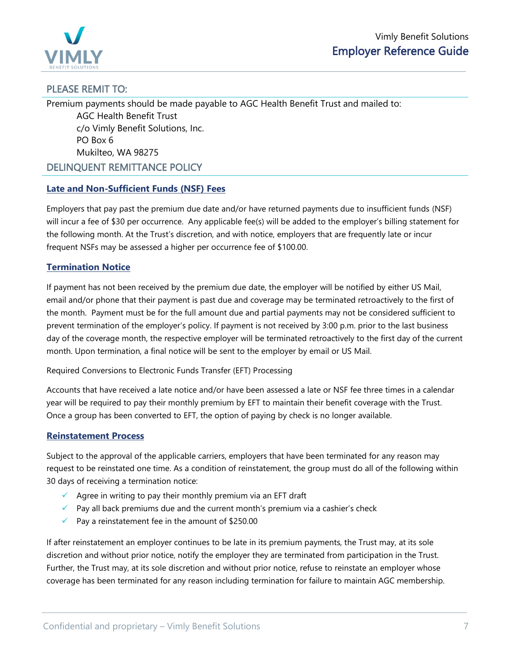

#### PLEASE REMIT TO:

Premium payments should be made payable to AGC Health Benefit Trust and mailed to: AGC Health Benefit Trust c/o Vimly Benefit Solutions, Inc. PO Box 6 Mukilteo, WA 98275 DELINQUENT REMITTANCE POLICY

#### **Late and Non-Sufficient Funds (NSF) Fees**

Employers that pay past the premium due date and/or have returned payments due to insufficient funds (NSF) will incur a fee of \$30 per occurrence. Any applicable fee(s) will be added to the employer's billing statement for the following month. At the Trust's discretion, and with notice, employers that are frequently late or incur frequent NSFs may be assessed a higher per occurrence fee of \$100.00.

#### **Termination Notice**

If payment has not been received by the premium due date, the employer will be notified by either US Mail, email and/or phone that their payment is past due and coverage may be terminated retroactively to the first of the month. Payment must be for the full amount due and partial payments may not be considered sufficient to prevent termination of the employer's policy. If payment is not received by 3:00 p.m. prior to the last business day of the coverage month, the respective employer will be terminated retroactively to the first day of the current month. Upon termination, a final notice will be sent to the employer by email or US Mail.

#### Required Conversions to Electronic Funds Transfer (EFT) Processing

Accounts that have received a late notice and/or have been assessed a late or NSF fee three times in a calendar year will be required to pay their monthly premium by EFT to maintain their benefit coverage with the Trust. Once a group has been converted to EFT, the option of paying by check is no longer available.

#### **Reinstatement Process**

Subject to the approval of the applicable carriers, employers that have been terminated for any reason may request to be reinstated one time. As a condition of reinstatement, the group must do all of the following within 30 days of receiving a termination notice:

- $\checkmark$  Agree in writing to pay their monthly premium via an EFT draft
- $\checkmark$  Pay all back premiums due and the current month's premium via a cashier's check
- $\sqrt{ }$  Pay a reinstatement fee in the amount of \$250.00

If after reinstatement an employer continues to be late in its premium payments, the Trust may, at its sole discretion and without prior notice, notify the employer they are terminated from participation in the Trust. Further, the Trust may, at its sole discretion and without prior notice, refuse to reinstate an employer whose coverage has been terminated for any reason including termination for failure to maintain AGC membership.